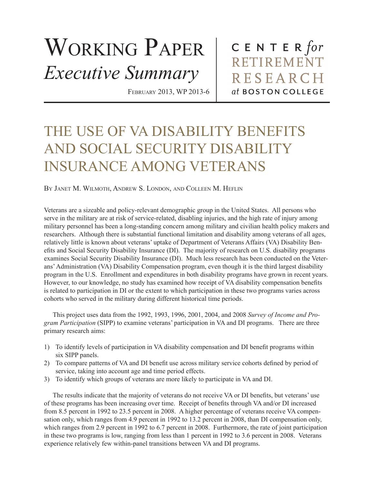## WORKING PAPER *Executive Summary*

February 2013, WP 2013-6

CENTER  $for$ **RETIREMENT RESEARCH** at BOSTON COLLEGE

## THE USE OF VA DISABILITY BENEFITS AND SOCIAL SECURITY DISABILITY INSURANCE AMONG VETERANS

By Janet M. Wilmoth, Andrew S. London, and Colleen M. Heflin

Veterans are a sizeable and policy-relevant demographic group in the United States. All persons who serve in the military are at risk of service-related, disabling injuries, and the high rate of injury among military personnel has been a long-standing concern among military and civilian health policy makers and researchers. Although there is substantial functional limitation and disability among veterans of all ages, relatively little is known about veterans' uptake of Department of Veterans Affairs (VA) Disability Benefits and Social Security Disability Insurance (DI). The majority of research on U.S. disability programs examines Social Security Disability Insurance (DI). Much less research has been conducted on the Veterans' Administration (VA) Disability Compensation program, even though it is the third largest disability program in the U.S. Enrollment and expenditures in both disability programs have grown in recent years. However, to our knowledge, no study has examined how receipt of VA disability compensation benefits is related to participation in DI or the extent to which participation in these two programs varies across cohorts who served in the military during different historical time periods.

This project uses data from the 1992, 1993, 1996, 2001, 2004, and 2008 *Survey of Income and Program Participation* (SIPP) to examine veterans' participation in VA and DI programs. There are three primary research aims:

- 1) To identify levels of participation in VA disability compensation and DI benefit programs within six SIPP panels.
- 2) To compare patterns of VA and DI benefit use across military service cohorts defined by period of service, taking into account age and time period effects.
- 3) To identify which groups of veterans are more likely to participate in VA and DI.

The results indicate that the majority of veterans do not receive VA or DI benefits, but veterans' use of these programs has been increasing over time. Receipt of benefits through VA and/or DI increased from 8.5 percent in 1992 to 23.5 percent in 2008. A higher percentage of veterans receive VA compensation only, which ranges from 4.9 percent in 1992 to 13.2 percent in 2008, than DI compensation only, which ranges from 2.9 percent in 1992 to 6.7 percent in 2008. Furthermore, the rate of joint participation in these two programs is low, ranging from less than 1 percent in 1992 to 3.6 percent in 2008. Veterans experience relatively few within-panel transitions between VA and DI programs.